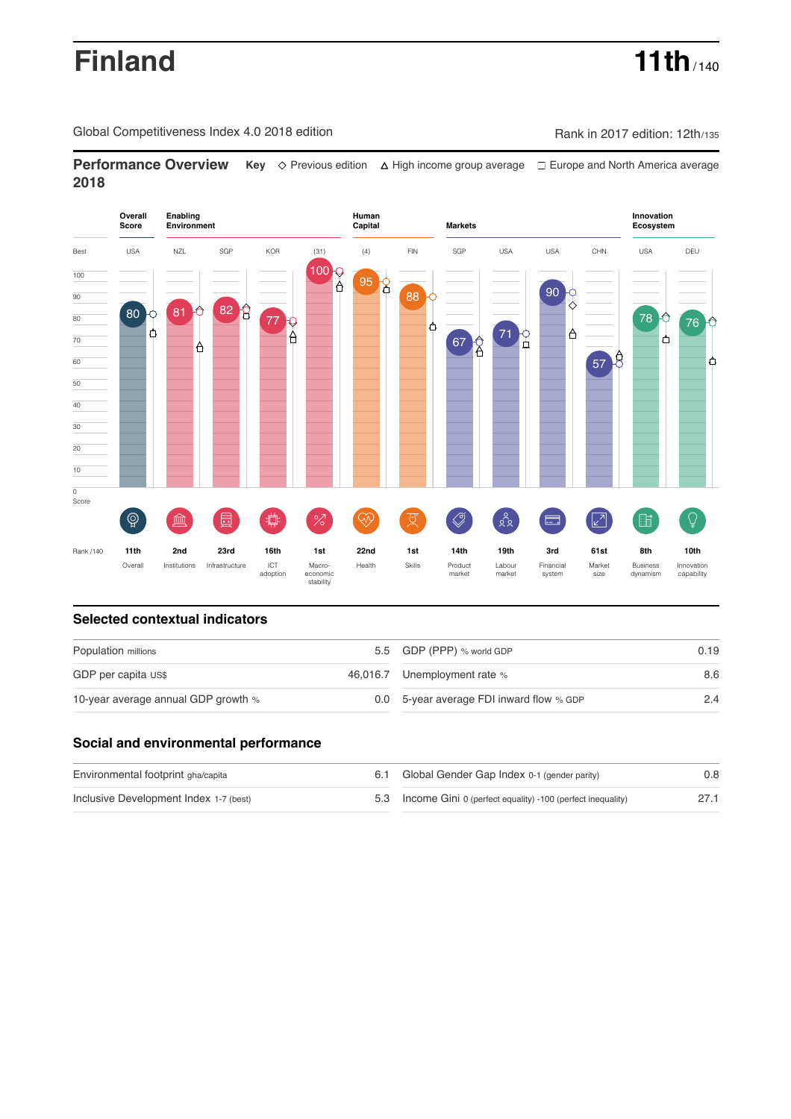# **Finland 11th**  $\frac{1}{140}$

Global Competitiveness Index 4.0 2018 edition Company Rank in 2017 edition: 12th/135

**Performance Overview** Key  $\Diamond$  Previous edition ∆ High income group average  $\Box$  Europe and North America average **2018**



## **Selected contextual indicators**

| Population millions                 |  | 5.5 GDP (PPP) % world GDP                | 0.19 |
|-------------------------------------|--|------------------------------------------|------|
| GDP per capita US\$                 |  | 46,016.7 Unemployment rate %             | 8.6  |
| 10-year average annual GDP growth % |  | 0.0 5-year average FDI inward flow % GDP | 24   |

## **Social and environmental performance**

| Environmental footprint gha/capita     | 6.1 Global Gender Gap Index 0-1 (gender parity)                | 0.8 |
|----------------------------------------|----------------------------------------------------------------|-----|
| Inclusive Development Index 1-7 (best) | 5.3 Income Gini 0 (perfect equality) -100 (perfect inequality) |     |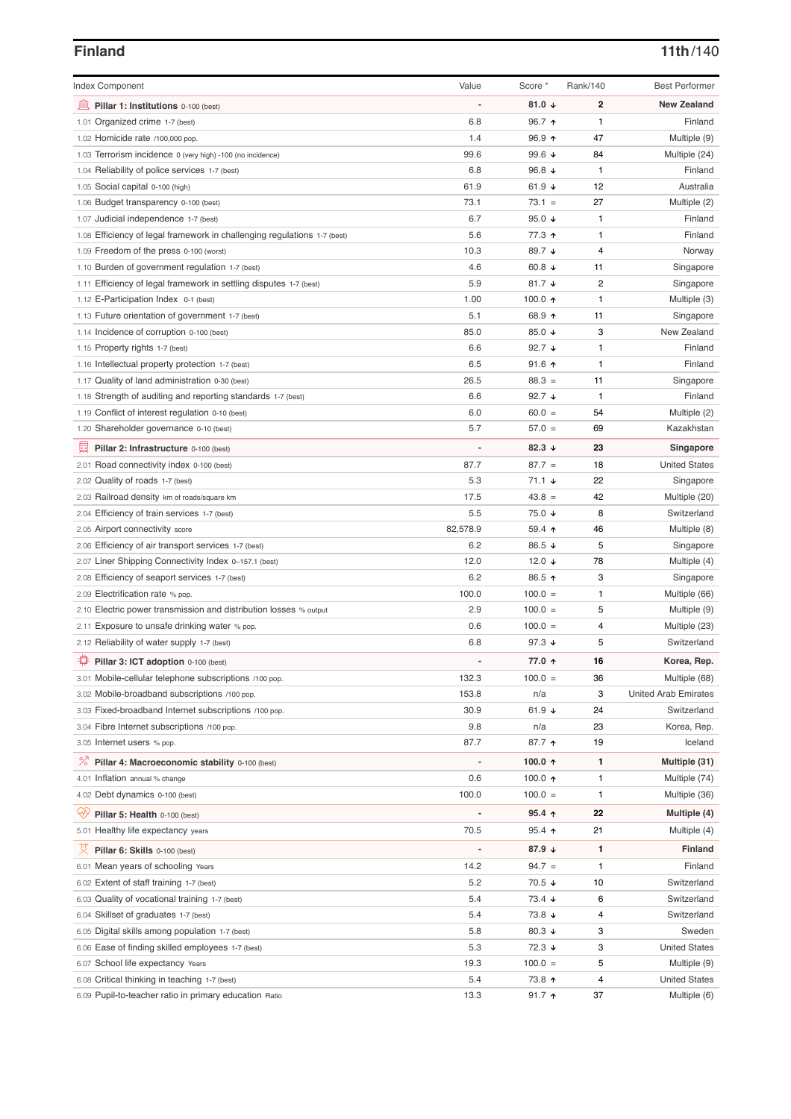| <b>Index Component</b>                                                                                  | Value                    | Score *              | Rank/140       | <b>Best Performer</b>                |
|---------------------------------------------------------------------------------------------------------|--------------------------|----------------------|----------------|--------------------------------------|
| 皿<br>Pillar 1: Institutions 0-100 (best)                                                                |                          | 81.0 $\sqrt{ }$      | 2              | <b>New Zealand</b>                   |
| 1.01 Organized crime 1-7 (best)                                                                         | 6.8                      | 96.7 $\uparrow$      | 1              | Finland                              |
| 1.02 Homicide rate /100,000 pop.                                                                        | 1.4                      | $96.9$ 1             | 47             | Multiple (9)                         |
| 1.03 Terrorism incidence 0 (very high) -100 (no incidence)                                              | 99.6                     | 99.6 $\sqrt{ }$      | 84             | Multiple (24)                        |
| 1.04 Reliability of police services 1-7 (best)                                                          | 6.8                      | 96.8 $\downarrow$    | 1              | Finland                              |
| 1.05 Social capital 0-100 (high)                                                                        | 61.9                     | 61.9 $\sqrt{ }$      | 12             | Australia                            |
| 1.06 Budget transparency 0-100 (best)                                                                   | 73.1                     | $73.1 =$             | 27             | Multiple (2)                         |
| 1.07 Judicial independence 1-7 (best)                                                                   | 6.7                      | 95.0 $\sqrt{ }$      | 1              | Finland                              |
| 1.08 Efficiency of legal framework in challenging regulations 1-7 (best)                                | 5.6                      | 77.3 ↑               | 1              | Finland                              |
| 1.09 Freedom of the press 0-100 (worst)                                                                 | 10.3                     | 89.7 ↓               | 4              | Norway                               |
| 1.10 Burden of government regulation 1-7 (best)                                                         | 4.6                      | 60.8 $\sqrt{ }$      | 11             | Singapore                            |
| 1.11 Efficiency of legal framework in settling disputes 1-7 (best)                                      | 5.9                      | 81.7 $\downarrow$    | $\overline{c}$ | Singapore                            |
| 1.12 E-Participation Index 0-1 (best)                                                                   | 1.00                     | 100.0 $\uparrow$     | 1              | Multiple (3)                         |
| 1.13 Future orientation of government 1-7 (best)                                                        | 5.1                      | 68.9 ↑               | 11             | Singapore                            |
| 1.14 Incidence of corruption 0-100 (best)                                                               | 85.0                     | 85.0 $\sqrt{ }$      | 3              | New Zealand                          |
| 1.15 Property rights 1-7 (best)                                                                         | 6.6                      | 92.7 $\sqrt{ }$      | 1              | Finland                              |
| 1.16 Intellectual property protection 1-7 (best)                                                        | 6.5                      | 91.6 $\uparrow$      | 1              | Finland                              |
| 1.17 Quality of land administration 0-30 (best)                                                         | 26.5                     | $88.3 =$             | 11             | Singapore                            |
| 1.18 Strength of auditing and reporting standards 1-7 (best)                                            | 6.6                      | 92.7 $\sqrt{ }$      | 1              | Finland                              |
| 1.19 Conflict of interest regulation 0-10 (best)                                                        | 6.0                      | $60.0 =$             | 54             | Multiple (2)                         |
| 1.20 Shareholder governance 0-10 (best)                                                                 | 5.7                      | $57.0 =$             | 69             | Kazakhstan                           |
| 囩<br>Pillar 2: Infrastructure 0-100 (best)                                                              |                          | 82.3 $\sqrt{ }$      | 23             | Singapore                            |
| 2.01 Road connectivity index 0-100 (best)                                                               | 87.7                     | $87.7 =$             | 18             | <b>United States</b>                 |
| 2.02 Quality of roads 1-7 (best)                                                                        | 5.3                      | $71.1 +$             | 22             | Singapore                            |
| 2.03 Railroad density km of roads/square km                                                             | 17.5                     | $43.8 =$             | 42             | Multiple (20)                        |
| 2.04 Efficiency of train services 1-7 (best)                                                            | 5.5                      | 75.0 ↓               | 8              | Switzerland                          |
| 2.05 Airport connectivity score                                                                         | 82,578.9                 | 59.4 ↑               | 46             | Multiple (8)                         |
| 2.06 Efficiency of air transport services 1-7 (best)                                                    | 6.2                      | 86.5 ↓               | 5              | Singapore                            |
| 2.07 Liner Shipping Connectivity Index 0-157.1 (best)                                                   | 12.0                     | 12.0 $\sqrt{ }$      | 78             | Multiple (4)                         |
| 2.08 Efficiency of seaport services 1-7 (best)                                                          | 6.2                      | 86.5 ↑               | 3              | Singapore                            |
| 2.09 Electrification rate % pop.                                                                        | 100.0                    | $100.0 =$            | 1              | Multiple (66)                        |
|                                                                                                         | 2.9                      | $100.0 =$            | 5              | Multiple (9)                         |
| 2.10 Electric power transmission and distribution losses % output                                       | 0.6                      | $100.0 =$            | 4              | Multiple (23)                        |
| 2.11 Exposure to unsafe drinking water % pop.                                                           |                          | 97.3 $\sqrt{ }$      | 5              | Switzerland                          |
| 2.12 Reliability of water supply 1-7 (best)                                                             | 6.8                      |                      |                |                                      |
| ₽<br>Pillar 3: ICT adoption 0-100 (best)                                                                |                          | 77.0 ↑               | 16             | Korea, Rep.                          |
| 3.01 Mobile-cellular telephone subscriptions /100 pop.                                                  | 132.3                    | $100.0 =$            | 36             | Multiple (68)                        |
| 3.02 Mobile-broadband subscriptions /100 pop.                                                           | 153.8                    | n/a                  | 3              | <b>United Arab Emirates</b>          |
| 3.03 Fixed-broadband Internet subscriptions /100 pop.                                                   | 30.9                     | 61.9 $\sqrt{ }$      | 24             | Switzerland                          |
| 3.04 Fibre Internet subscriptions /100 pop.                                                             | 9.8                      | n/a                  | 23             | Korea, Rep.                          |
| 3.05 Internet users % pop.                                                                              | 87.7                     | 87.7 ተ               | 19             | Iceland                              |
| <sup>%</sup> Pillar 4: Macroeconomic stability 0-100 (best)                                             | $\overline{\phantom{a}}$ | 100.0 $\uparrow$     | 1              | Multiple (31)                        |
| 4.01 Inflation annual % change                                                                          | 0.6                      | 100.0 $\uparrow$     | 1              | Multiple (74)                        |
| 4.02 Debt dynamics 0-100 (best)                                                                         | 100.0                    | $100.0 =$            | 1              | Multiple (36)                        |
| Qiy<br>Pillar 5: Health 0-100 (best)                                                                    |                          | $95.4$ ↑             | 22             | Multiple (4)                         |
| 5.01 Healthy life expectancy years                                                                      | 70.5                     | $95.4$ ↑             | 21             | Multiple (4)                         |
| 섯<br>Pillar 6: Skills 0-100 (best)                                                                      |                          | 87.9 $\sqrt{ }$      | 1              | <b>Finland</b>                       |
| 6.01 Mean years of schooling Years                                                                      | 14.2                     | $94.7 =$             | 1              | Finland                              |
| 6.02 Extent of staff training 1-7 (best)                                                                | 5.2                      | 70.5 ↓               | 10             | Switzerland                          |
| 6.03 Quality of vocational training 1-7 (best)                                                          | 5.4                      | $73.4 \; \downarrow$ | 6              | Switzerland                          |
| 6.04 Skillset of graduates 1-7 (best)                                                                   | 5.4                      | 73.8 ↓               | 4              | Switzerland                          |
| 6.05 Digital skills among population 1-7 (best)                                                         | 5.8                      | 80.3 $\downarrow$    | 3              | Sweden                               |
| 6.06 Ease of finding skilled employees 1-7 (best)                                                       | 5.3                      | 72.3 ↓               | 3              | <b>United States</b>                 |
|                                                                                                         |                          |                      | 5              |                                      |
| 6.07 School life expectancy Years                                                                       | 19.3<br>5.4              | $100.0 =$<br>73.8 个  | 4              | Multiple (9)<br><b>United States</b> |
| 6.08 Critical thinking in teaching 1-7 (best)<br>6.09 Pupil-to-teacher ratio in primary education Ratio | 13.3                     | $91.7$ ↑             | 37             | Multiple (6)                         |
|                                                                                                         |                          |                      |                |                                      |